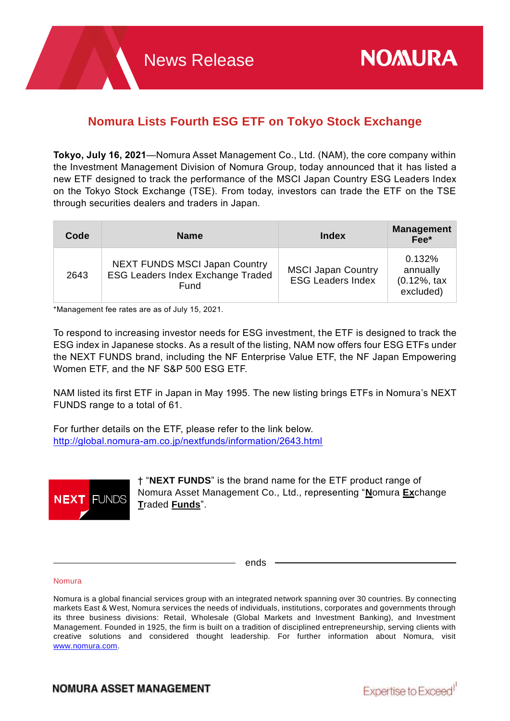# **Nomura Lists Fourth ESG ETF on Tokyo Stock Exchange**

**Tokyo, July 16, 2021**—Nomura Asset Management Co., Ltd. (NAM), the core company within the Investment Management Division of Nomura Group, today announced that it has listed a new ETF designed to track the performance of the MSCI Japan Country ESG Leaders Index on the Tokyo Stock Exchange (TSE). From today, investors can trade the ETF on the TSE through securities dealers and traders in Japan.

| Code | <b>Name</b>                                                                       | Index                                                 | <b>Management</b><br>Fee*                                   |
|------|-----------------------------------------------------------------------------------|-------------------------------------------------------|-------------------------------------------------------------|
| 2643 | NEXT FUNDS MSCI Japan Country<br><b>ESG Leaders Index Exchange Traded</b><br>Fund | <b>MSCI Japan Country</b><br><b>ESG Leaders Index</b> | 0.132%<br>annually<br>$(0.12\% , \text{ tax})$<br>excluded) |

\*Management fee rates are as of July 15, 2021.

To respond to increasing investor needs for ESG investment, the ETF is designed to track the ESG index in Japanese stocks. As a result of the listing, NAM now offers four ESG ETFs under the NEXT FUNDS brand, including the NF Enterprise Value ETF, the NF Japan Empowering Women ETF, and the NF S&P 500 ESG ETF.

NAM listed its first ETF in Japan in May 1995. The new listing brings ETFs in Nomura's NEXT FUNDS range to a total of 61.

For further details on the ETF, please refer to the link below. <http://global.nomura-am.co.jp/nextfunds/information/2643.html>



† "**NEXT FUNDS**" is the brand name for the ETF product range of Nomura Asset Management Co., Ltd., representing "**N**omura **Ex**change **T**raded **Funds**".

ends

#### Nomura

Nomura is a global financial services group with an integrated network spanning over 30 countries. By connecting markets East & West, Nomura services the needs of individuals, institutions, corporates and governments through its three business divisions: Retail, Wholesale (Global Markets and Investment Banking), and Investment Management. Founded in 1925, the firm is built on a tradition of disciplined entrepreneurship, serving clients with creative solutions and considered thought leadership. For further information about Nomura, visit [www.nomura.com.](https://www.nomura.com/)

# **NOMURA ASSET MANAGEMENT**

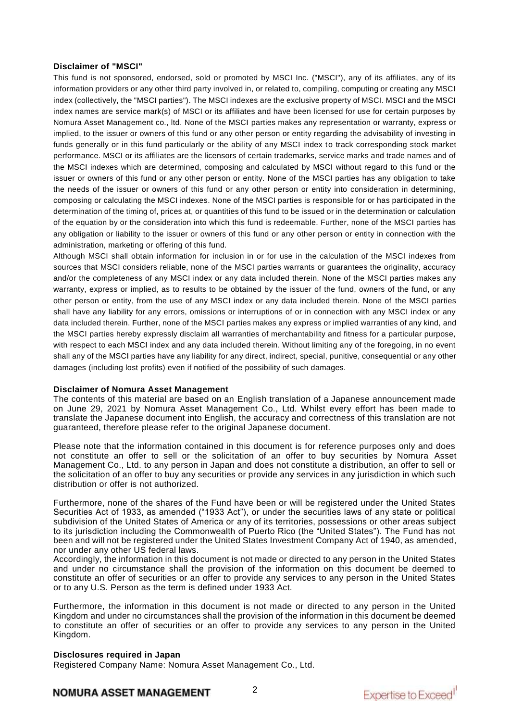# **Disclaimer of "MSCI"**

This fund is not sponsored, endorsed, sold or promoted by MSCI Inc. ("MSCI"), any of its affiliates, any of its information providers or any other third party involved in, or related to, compiling, computing or creating any MSCI index (collectively, the "MSCI parties"). The MSCI indexes are the exclusive property of MSCI. MSCI and the MSCI index names are service mark(s) of MSCI or its affiliates and have been licensed for use for certain purposes by Nomura Asset Management co., ltd. None of the MSCI parties makes any representation or warranty, express or implied, to the issuer or owners of this fund or any other person or entity regarding the advisability of investing in funds generally or in this fund particularly or the ability of any MSCI index to track corresponding stock market performance. MSCI or its affiliates are the licensors of certain trademarks, service marks and trade names and of the MSCI indexes which are determined, composing and calculated by MSCI without regard to this fund or the issuer or owners of this fund or any other person or entity. None of the MSCI parties has any obligation to take the needs of the issuer or owners of this fund or any other person or entity into consideration in determining, composing or calculating the MSCI indexes. None of the MSCI parties is responsible for or has participated in the determination of the timing of, prices at, or quantities of this fund to be issued or in the determination or calculation of the equation by or the consideration into which this fund is redeemable. Further, none of the MSCI parties has any obligation or liability to the issuer or owners of this fund or any other person or entity in connection with the administration, marketing or offering of this fund.

Although MSCI shall obtain information for inclusion in or for use in the calculation of the MSCI indexes from sources that MSCI considers reliable, none of the MSCI parties warrants or guarantees the originality, accuracy and/or the completeness of any MSCI index or any data included therein. None of the MSCI parties makes any warranty, express or implied, as to results to be obtained by the issuer of the fund, owners of the fund, or any other person or entity, from the use of any MSCI index or any data included therein. None of the MSCI parties shall have any liability for any errors, omissions or interruptions of or in connection with any MSCI index or any data included therein. Further, none of the MSCI parties makes any express or implied warranties of any kind, and the MSCI parties hereby expressly disclaim all warranties of merchantability and fitness for a particular purpose, with respect to each MSCI index and any data included therein. Without limiting any of the foregoing, in no event shall any of the MSCI parties have any liability for any direct, indirect, special, punitive, consequential or any other damages (including lost profits) even if notified of the possibility of such damages.

# **Disclaimer of Nomura Asset Management**

The contents of this material are based on an English translation of a Japanese announcement made on June 29, 2021 by Nomura Asset Management Co., Ltd. Whilst every effort has been made to translate the Japanese document into English, the accuracy and correctness of this translation are not guaranteed, therefore please refer to the original Japanese document.

Please note that the information contained in this document is for reference purposes only and does not constitute an offer to sell or the solicitation of an offer to buy securities by Nomura Asset Management Co., Ltd. to any person in Japan and does not constitute a distribution, an offer to sell or the solicitation of an offer to buy any securities or provide any services in any jurisdiction in which such distribution or offer is not authorized.

Furthermore, none of the shares of the Fund have been or will be registered under the United States Securities Act of 1933, as amended ("1933 Act"), or under the securities laws of any state or political subdivision of the United States of America or any of its territories, possessions or other areas subject to its jurisdiction including the Commonwealth of Puerto Rico (the "United States"). The Fund has not been and will not be registered under the United States Investment Company Act of 1940, as amended, nor under any other US federal laws.

Accordingly, the information in this document is not made or directed to any person in the United States and under no circumstance shall the provision of the information on this document be deemed to constitute an offer of securities or an offer to provide any services to any person in the United States or to any U.S. Person as the term is defined under 1933 Act.

Furthermore, the information in this document is not made or directed to any person in the United Kingdom and under no circumstances shall the provision of the information in this document be deemed to constitute an offer of securities or an offer to provide any services to any person in the United Kingdom.

# **Disclosures required in Japan**

Registered Company Name: Nomura Asset Management Co., Ltd.

**NOMURA ASSET MANAGEMENT**